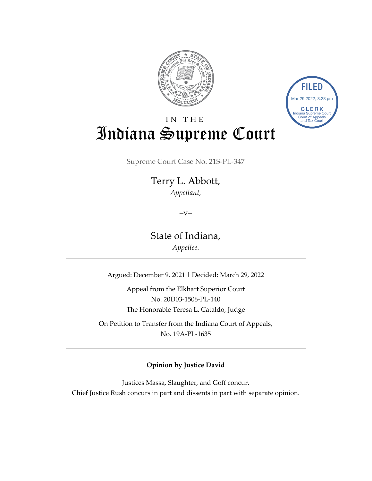



# IN THE Indiana Supreme Court

Supreme Court Case No. 21S-PL-347

Terry L. Abbott, *Appellant,*

 $-V$ 

State of Indiana, *Appellee.*

Argued: December 9, 2021 | Decided: March 29, 2022

Appeal from the Elkhart Superior Court No. 20D03-1506-PL-140 The Honorable Teresa L. Cataldo, Judge

On Petition to Transfer from the Indiana Court of Appeals, No. 19A-PL-1635

#### **Opinion by Justice David**

Justices Massa, Slaughter, and Goff concur. Chief Justice Rush concurs in part and dissents in part with separate opinion.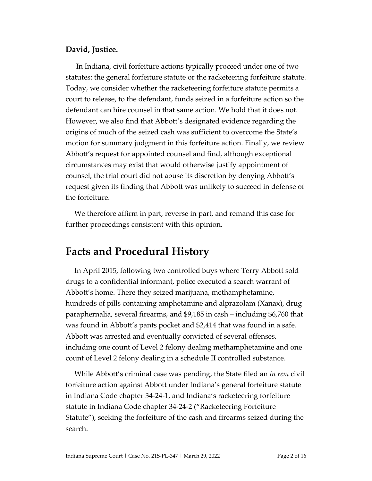#### **David, Justice.**

In Indiana, civil forfeiture actions typically proceed under one of two statutes: the general forfeiture statute or the racketeering forfeiture statute. Today, we consider whether the racketeering forfeiture statute permits a court to release, to the defendant, funds seized in a forfeiture action so the defendant can hire counsel in that same action. We hold that it does not. However, we also find that Abbott's designated evidence regarding the origins of much of the seized cash was sufficient to overcome the State's motion for summary judgment in this forfeiture action. Finally, we review Abbott's request for appointed counsel and find, although exceptional circumstances may exist that would otherwise justify appointment of counsel, the trial court did not abuse its discretion by denying Abbott's request given its finding that Abbott was unlikely to succeed in defense of the forfeiture.

We therefore affirm in part, reverse in part, and remand this case for further proceedings consistent with this opinion.

## **Facts and Procedural History**

In April 2015, following two controlled buys where Terry Abbott sold drugs to a confidential informant, police executed a search warrant of Abbott's home. There they seized marijuana, methamphetamine, hundreds of pills containing amphetamine and alprazolam (Xanax), drug paraphernalia, several firearms, and \$9,185 in cash – including \$6,760 that was found in Abbott's pants pocket and \$2,414 that was found in a safe. Abbott was arrested and eventually convicted of several offenses, including one count of Level 2 felony dealing methamphetamine and one count of Level 2 felony dealing in a schedule II controlled substance.

While Abbott's criminal case was pending, the State filed an *in rem* civil forfeiture action against Abbott under Indiana's general forfeiture statute in Indiana Code chapter 34-24-1, and Indiana's racketeering forfeiture statute in Indiana Code chapter 34-24-2 ("Racketeering Forfeiture Statute"), seeking the forfeiture of the cash and firearms seized during the search.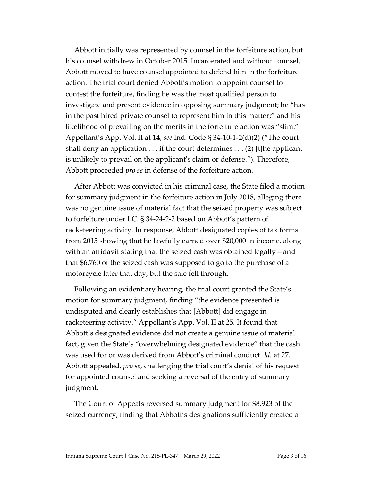Abbott initially was represented by counsel in the forfeiture action, but his counsel withdrew in October 2015. Incarcerated and without counsel, Abbott moved to have counsel appointed to defend him in the forfeiture action. The trial court denied Abbott's motion to appoint counsel to contest the forfeiture, finding he was the most qualified person to investigate and present evidence in opposing summary judgment; he "has in the past hired private counsel to represent him in this matter;" and his likelihood of prevailing on the merits in the forfeiture action was "slim." Appellant's App. Vol. II at 14; *see* Ind. Code § 34-10-1-2(d)(2) ("The court shall deny an application . . . if the court determines . . . (2) [t]he applicant is unlikely to prevail on the applicant's claim or defense."). Therefore, Abbott proceeded *pro se* in defense of the forfeiture action.

After Abbott was convicted in his criminal case, the State filed a motion for summary judgment in the forfeiture action in July 2018, alleging there was no genuine issue of material fact that the seized property was subject to forfeiture under I.C. § 34-24-2-2 based on Abbott's pattern of racketeering activity. In response, Abbott designated copies of tax forms from 2015 showing that he lawfully earned over \$20,000 in income, along with an affidavit stating that the seized cash was obtained legally—and that \$6,760 of the seized cash was supposed to go to the purchase of a motorcycle later that day, but the sale fell through.

Following an evidentiary hearing, the trial court granted the State's motion for summary judgment, finding "the evidence presented is undisputed and clearly establishes that [Abbott] did engage in racketeering activity." Appellant's App. Vol. II at 25. It found that Abbott's designated evidence did not create a genuine issue of material fact, given the State's "overwhelming designated evidence" that the cash was used for or was derived from Abbott's criminal conduct. *Id.* at 27. Abbott appealed, *pro se*, challenging the trial court's denial of his request for appointed counsel and seeking a reversal of the entry of summary judgment.

The Court of Appeals reversed summary judgment for \$8,923 of the seized currency, finding that Abbott's designations sufficiently created a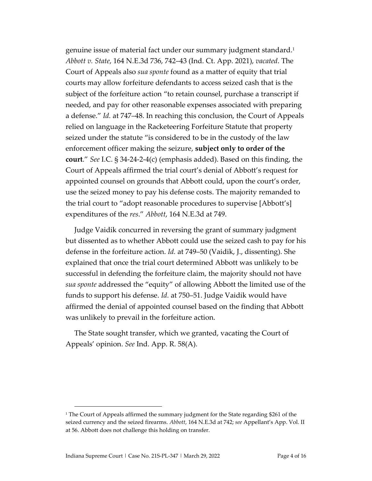genuine issue of material fact under our summary judgment standard.<sup>1</sup> *Abbott v. State*, 164 N.E.3d 736, 742–43 (Ind. Ct. App. 2021), *vacated*. The Court of Appeals also *sua sponte* found as a matter of equity that trial courts may allow forfeiture defendants to access seized cash that is the subject of the forfeiture action "to retain counsel, purchase a transcript if needed, and pay for other reasonable expenses associated with preparing a defense." *Id.* at 747–48. In reaching this conclusion, the Court of Appeals relied on language in the Racketeering Forfeiture Statute that property seized under the statute "is considered to be in the custody of the law enforcement officer making the seizure, **subject only to order of the court**." *See* I.C. § 34-24-2-4(c) (emphasis added). Based on this finding, the Court of Appeals affirmed the trial court's denial of Abbott's request for appointed counsel on grounds that Abbott could, upon the court's order, use the seized money to pay his defense costs. The majority remanded to the trial court to "adopt reasonable procedures to supervise [Abbott's] expenditures of the *res*." *Abbott*, 164 N.E.3d at 749.

Judge Vaidik concurred in reversing the grant of summary judgment but dissented as to whether Abbott could use the seized cash to pay for his defense in the forfeiture action. *Id.* at 749–50 (Vaidik, J., dissenting). She explained that once the trial court determined Abbott was unlikely to be successful in defending the forfeiture claim, the majority should not have *sua sponte* addressed the "equity" of allowing Abbott the limited use of the funds to support his defense. *Id.* at 750–51. Judge Vaidik would have affirmed the denial of appointed counsel based on the finding that Abbott was unlikely to prevail in the forfeiture action.

The State sought transfer, which we granted, vacating the Court of Appeals' opinion. *See* Ind. App. R. 58(A).

<sup>&</sup>lt;sup>1</sup> The Court of Appeals affirmed the summary judgment for the State regarding \$261 of the seized currency and the seized firearms. *Abbott*, 164 N.E.3d at 742; *see* Appellant's App. Vol. II at 56. Abbott does not challenge this holding on transfer.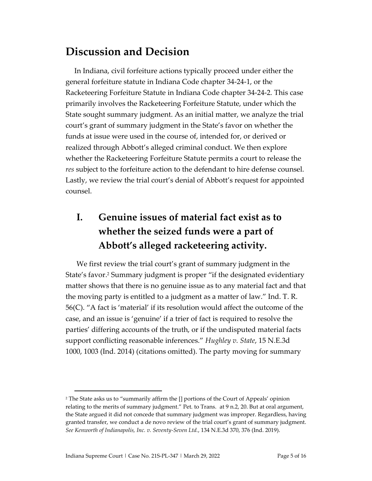# **Discussion and Decision**

In Indiana, civil forfeiture actions typically proceed under either the general forfeiture statute in Indiana Code chapter 34-24-1, or the Racketeering Forfeiture Statute in Indiana Code chapter 34-24-2*.* This case primarily involves the Racketeering Forfeiture Statute, under which the State sought summary judgment. As an initial matter, we analyze the trial court's grant of summary judgment in the State's favor on whether the funds at issue were used in the course of, intended for, or derived or realized through Abbott's alleged criminal conduct. We then explore whether the Racketeering Forfeiture Statute permits a court to release the *res* subject to the forfeiture action to the defendant to hire defense counsel. Lastly, we review the trial court's denial of Abbott's request for appointed counsel.

# **I. Genuine issues of material fact exist as to whether the seized funds were a part of Abbott's alleged racketeering activity.**

We first review the trial court's grant of summary judgment in the State's favor.<sup>2</sup> Summary judgment is proper "if the designated evidentiary matter shows that there is no genuine issue as to any material fact and that the moving party is entitled to a judgment as a matter of law." Ind. T. R. 56(C). "A fact is 'material' if its resolution would affect the outcome of the case, and an issue is 'genuine' if a trier of fact is required to resolve the parties' differing accounts of the truth, or if the undisputed material facts support conflicting reasonable inferences." *Hughley v. State*, 15 N.E.3d 1000, 1003 (Ind. 2014) (citations omitted). The party moving for summary

<sup>2</sup> The State asks us to "summarily affirm the [] portions of the Court of Appeals' opinion relating to the merits of summary judgment." Pet. to Trans. at 9 n.2, 20. But at oral argument, the State argued it did not concede that summary judgment was improper. Regardless, having granted transfer, we conduct a de novo review of the trial court's grant of summary judgment. *See Kenworth of Indianapolis, Inc. v. Seventy-Seven Ltd.*, 134 N.E.3d 370, 376 (Ind. 2019).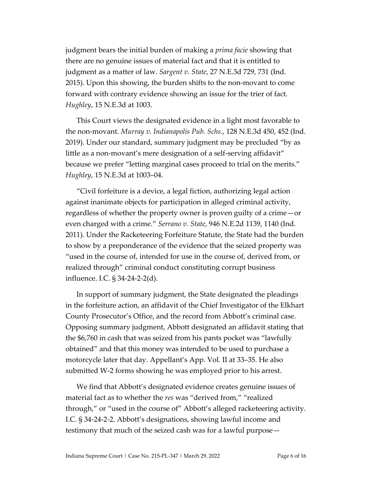judgment bears the initial burden of making a *prima facie* showing that there are no genuine issues of material fact and that it is entitled to judgment as a matter of law. *Sargent v. State*, 27 N.E.3d 729, 731 (Ind. 2015). Upon this showing, the burden shifts to the non-movant to come forward with contrary evidence showing an issue for the trier of fact. *Hughley*, 15 N.E.3d at 1003.

This Court views the designated evidence in a light most favorable to the non-movant. *Murray v. Indianapolis Pub. Schs.*, 128 N.E.3d 450, 452 (Ind. 2019). Under our standard, summary judgment may be precluded "by as little as a non-movant's mere designation of a self-serving affidavit" because we prefer "letting marginal cases proceed to trial on the merits." *Hughley*, 15 N.E.3d at 1003–04.

"Civil forfeiture is a device, a legal fiction, authorizing legal action against inanimate objects for participation in alleged criminal activity, regardless of whether the property owner is proven guilty of a crime—or even charged with a crime." *Serrano v. State*, 946 N.E.2d 1139, 1140 (Ind. 2011). Under the Racketeering Forfeiture Statute, the State had the burden to show by a preponderance of the evidence that the seized property was "used in the course of, intended for use in the course of, derived from, or realized through" criminal conduct constituting corrupt business influence. I.C. § 34-24-2-2(d).

In support of summary judgment, the State designated the pleadings in the forfeiture action, an affidavit of the Chief Investigator of the Elkhart County Prosecutor's Office, and the record from Abbott's criminal case. Opposing summary judgment, Abbott designated an affidavit stating that the \$6,760 in cash that was seized from his pants pocket was "lawfully obtained" and that this money was intended to be used to purchase a motorcycle later that day. Appellant's App. Vol. II at 33–35. He also submitted W-2 forms showing he was employed prior to his arrest.

We find that Abbott's designated evidence creates genuine issues of material fact as to whether the *res* was "derived from," "realized through," or "used in the course of" Abbott's alleged racketeering activity. I.C. § 34-24-2-2. Abbott's designations, showing lawful income and testimony that much of the seized cash was for a lawful purpose—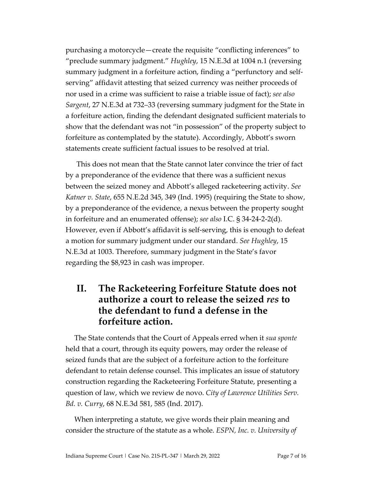purchasing a motorcycle—create the requisite "conflicting inferences" to "preclude summary judgment." *Hughley*, 15 N.E.3d at 1004 n.1 (reversing summary judgment in a forfeiture action, finding a "perfunctory and selfserving" affidavit attesting that seized currency was neither proceeds of nor used in a crime was sufficient to raise a triable issue of fact); *see also Sargent*, 27 N.E.3d at 732–33 (reversing summary judgment for the State in a forfeiture action, finding the defendant designated sufficient materials to show that the defendant was not "in possession" of the property subject to forfeiture as contemplated by the statute). Accordingly, Abbott's sworn statements create sufficient factual issues to be resolved at trial.

This does not mean that the State cannot later convince the trier of fact by a preponderance of the evidence that there was a sufficient nexus between the seized money and Abbott's alleged racketeering activity. *See Katner v. State*, 655 N.E.2d 345, 349 (Ind. 1995) (requiring the State to show, by a preponderance of the evidence, a nexus between the property sought in forfeiture and an enumerated offense); *see also* I.C. § 34-24-2-2(d). However, even if Abbott's affidavit is self-serving, this is enough to defeat a motion for summary judgment under our standard. *See Hughley*, 15 N.E.3d at 1003. Therefore, summary judgment in the State's favor regarding the \$8,923 in cash was improper.

#### **II. The Racketeering Forfeiture Statute does not authorize a court to release the seized** *res* **to the defendant to fund a defense in the forfeiture action.**

The State contends that the Court of Appeals erred when it *sua sponte*  held that a court, through its equity powers, may order the release of seized funds that are the subject of a forfeiture action to the forfeiture defendant to retain defense counsel. This implicates an issue of statutory construction regarding the Racketeering Forfeiture Statute, presenting a question of law, which we review de novo. *City of Lawrence Utilities Serv. Bd. v. Curry*, 68 N.E.3d 581, 585 (Ind. 2017).

When interpreting a statute, we give words their plain meaning and consider the structure of the statute as a whole. *ESPN, Inc. v. University of*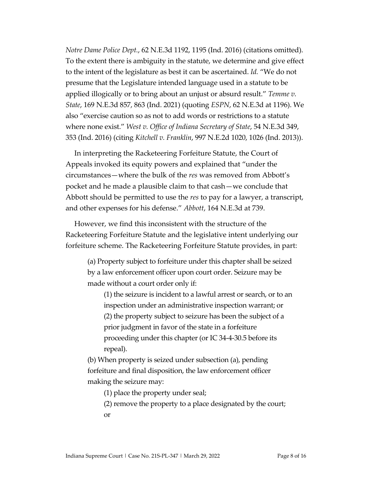*Notre Dame Police Dept.*, 62 N.E.3d 1192, 1195 (Ind. 2016) (citations omitted). To the extent there is ambiguity in the statute, we determine and give effect to the intent of the legislature as best it can be ascertained. *Id.* "We do not presume that the Legislature intended language used in a statute to be applied illogically or to bring about an unjust or absurd result." *Temme v. State*, 169 N.E.3d 857, 863 (Ind. 2021) (quoting *ESPN*, 62 N.E.3d at 1196). We also "exercise caution so as not to add words or restrictions to a statute where none exist." *West v. Office of Indiana Secretary of State*, 54 N.E.3d 349, 353 (Ind. 2016) (citing *Kitchell v. Franklin*, 997 N.E.2d 1020, 1026 (Ind. 2013)).

In interpreting the Racketeering Forfeiture Statute, the Court of Appeals invoked its equity powers and explained that "under the circumstances—where the bulk of the *res* was removed from Abbott's pocket and he made a plausible claim to that cash—we conclude that Abbott should be permitted to use the *res* to pay for a lawyer, a transcript, and other expenses for his defense." *Abbott*, 164 N.E.3d at 739.

However, we find this inconsistent with the structure of the Racketeering Forfeiture Statute and the legislative intent underlying our forfeiture scheme. The Racketeering Forfeiture Statute provides, in part:

(a) Property subject to forfeiture under this chapter shall be seized by a law enforcement officer upon court order. Seizure may be made without a court order only if:

(1) the seizure is incident to a lawful arrest or search, or to an inspection under an administrative inspection warrant; or (2) the property subject to seizure has been the subject of a prior judgment in favor of the state in a forfeiture proceeding under this chapter (or IC 34-4-30.5 before its repeal).

(b) When property is seized under subsection (a), pending forfeiture and final disposition, the law enforcement officer making the seizure may:

(1) place the property under seal;

(2) remove the property to a place designated by the court; or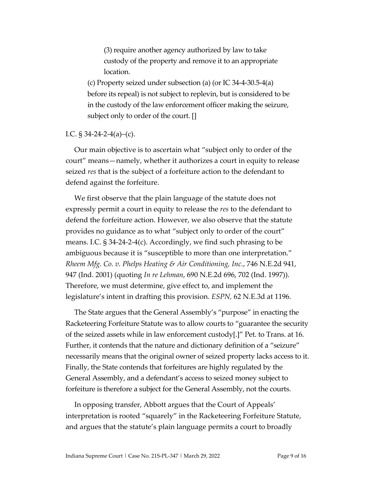(3) require another agency authorized by law to take custody of the property and remove it to an appropriate location.

(c) Property seized under subsection (a) (or IC 34-4-30.5-4(a) before its repeal) is not subject to replevin, but is considered to be in the custody of the law enforcement officer making the seizure, subject only to order of the court. []

I.C.  $\frac{1}{9}$  34-24-2-4(a)–(c).

Our main objective is to ascertain what "subject only to order of the court" means—namely, whether it authorizes a court in equity to release seized *res* that is the subject of a forfeiture action to the defendant to defend against the forfeiture.

We first observe that the plain language of the statute does not expressly permit a court in equity to release the *res* to the defendant to defend the forfeiture action. However, we also observe that the statute provides no guidance as to what "subject only to order of the court" means. I.C. § 34-24-2-4(c). Accordingly, we find such phrasing to be ambiguous because it is "susceptible to more than one interpretation." *Rheem Mfg. Co. v. Phelps Heating & Air Conditioning, Inc.*, 746 N.E.2d 941, 947 (Ind. 2001) (quoting *In re Lehman*, 690 N.E.2d 696, 702 (Ind. 1997)). Therefore, we must determine, give effect to, and implement the legislature's intent in drafting this provision. *ESPN,* 62 N.E.3d at 1196.

The State argues that the General Assembly's "purpose" in enacting the Racketeering Forfeiture Statute was to allow courts to "guarantee the security of the seized assets while in law enforcement custody[.]" Pet. to Trans. at 16. Further, it contends that the nature and dictionary definition of a "seizure" necessarily means that the original owner of seized property lacks access to it. Finally, the State contends that forfeitures are highly regulated by the General Assembly, and a defendant's access to seized money subject to forfeiture is therefore a subject for the General Assembly, not the courts.

In opposing transfer, Abbott argues that the Court of Appeals' interpretation is rooted "squarely" in the Racketeering Forfeiture Statute, and argues that the statute's plain language permits a court to broadly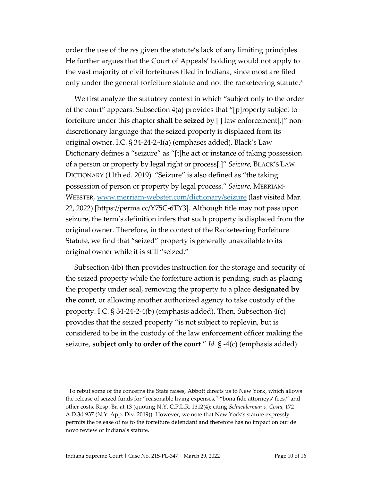order the use of the *res* given the statute's lack of any limiting principles*.* He further argues that the Court of Appeals' holding would not apply to the vast majority of civil forfeitures filed in Indiana, since most are filed only under the general forfeiture statute and not the racketeering statute. 3

We first analyze the statutory context in which "subject only to the order of the court" appears. Subsection 4(a) provides that "[p]roperty subject to forfeiture under this chapter **shall** be **seized** by [ ] law enforcement[,]" nondiscretionary language that the seized property is displaced from its original owner. I.C. § 34-24-2-4(a) (emphases added). Black's Law Dictionary defines a "seizure" as "[t]he act or instance of taking possession of a person or property by legal right or process[.]" *Seizure*, BLACK'S LAW DICTIONARY (11th ed. 2019). "Seizure" is also defined as "the taking possession of person or property by legal process." *Seizure*, MERRIAM-WEBSTER, [www.merriam-webster.com/dictionary/seizure](http://www.merriam-webster.com/dictionary/seizure) (last visited Mar. 22, 2022) [https://perma.cc/Y75C-6TY3]. Although title may not pass upon seizure, the term's definition infers that such property is displaced from the original owner. Therefore, in the context of the Racketeering Forfeiture Statute, we find that "seized" property is generally unavailable to its original owner while it is still "seized."

Subsection 4(b) then provides instruction for the storage and security of the seized property while the forfeiture action is pending, such as placing the property under seal, removing the property to a place **designated by the court**, or allowing another authorized agency to take custody of the property. I.C. § 34-24-2-4(b) (emphasis added). Then, Subsection 4(c) provides that the seized property "is not subject to replevin, but is considered to be in the custody of the law enforcement officer making the seizure, **subject only to order of the court**." *Id.* § -4(c) (emphasis added).

<sup>&</sup>lt;sup>3</sup> To rebut some of the concerns the State raises, Abbott directs us to New York, which allows the release of seized funds for "reasonable living expenses," "bona fide attorneys' fees," and other costs. Resp. Br. at 13 (quoting N.Y. C.P.L.R. 1312(4); citing *Schneiderman v. Costa*, 172 A.D.3d 937 (N.Y. App. Div. 2019)). However, we note that New York's statute expressly permits the release of *res* to the forfeiture defendant and therefore has no impact on our de novo review of Indiana's statute.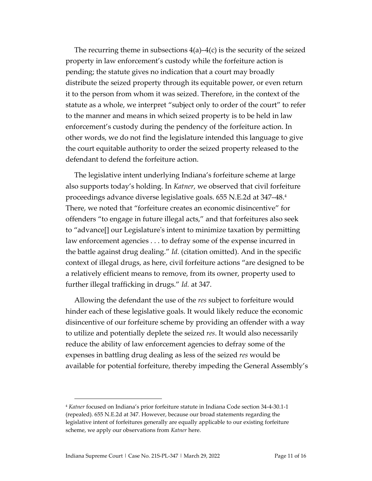The recurring theme in subsections  $4(a)$ – $4(c)$  is the security of the seized property in law enforcement's custody while the forfeiture action is pending; the statute gives no indication that a court may broadly distribute the seized property through its equitable power, or even return it to the person from whom it was seized. Therefore, in the context of the statute as a whole, we interpret "subject only to order of the court" to refer to the manner and means in which seized property is to be held in law enforcement's custody during the pendency of the forfeiture action. In other words, we do not find the legislature intended this language to give the court equitable authority to order the seized property released to the defendant to defend the forfeiture action.

The legislative intent underlying Indiana's forfeiture scheme at large also supports today's holding. In *Katner*, we observed that civil forfeiture proceedings advance diverse legislative goals. 655 N.E.2d at 347–48.<sup>4</sup> There, we noted that "forfeiture creates an economic disincentive" for offenders "to engage in future illegal acts," and that forfeitures also seek to "advance[] our Legislature's intent to minimize taxation by permitting law enforcement agencies . . . to defray some of the expense incurred in the battle against drug dealing." *Id.* (citation omitted). And in the specific context of illegal drugs, as here, civil forfeiture actions "are designed to be a relatively efficient means to remove, from its owner, property used to further illegal trafficking in drugs." *Id.* at 347.

Allowing the defendant the use of the *res* subject to forfeiture would hinder each of these legislative goals. It would likely reduce the economic disincentive of our forfeiture scheme by providing an offender with a way to utilize and potentially deplete the seized *res*. It would also necessarily reduce the ability of law enforcement agencies to defray some of the expenses in battling drug dealing as less of the seized *res* would be available for potential forfeiture, thereby impeding the General Assembly's

<sup>4</sup> *Katner* focused on Indiana's prior forfeiture statute in Indiana Code section 34-4-30.1-1 (repealed). 655 N.E.2d at 347. However, because our broad statements regarding the legislative intent of forfeitures generally are equally applicable to our existing forfeiture scheme, we apply our observations from *Katner* here.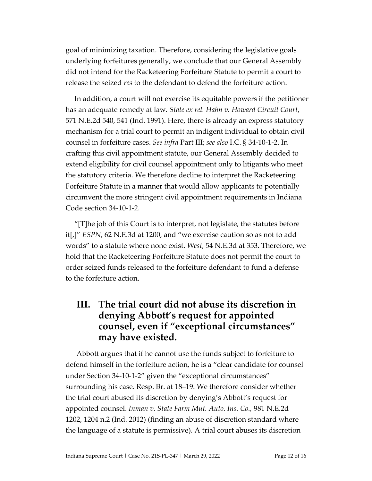goal of minimizing taxation. Therefore, considering the legislative goals underlying forfeitures generally, we conclude that our General Assembly did not intend for the Racketeering Forfeiture Statute to permit a court to release the seized *res* to the defendant to defend the forfeiture action.

In addition, a court will not exercise its equitable powers if the petitioner has an adequate remedy at law*. State ex rel. Hahn v. Howard Circuit Court*, 571 N.E.2d 540, 541 (Ind. 1991). Here, there is already an express statutory mechanism for a trial court to permit an indigent individual to obtain civil counsel in forfeiture cases. *See infra* Part III; *see also* I.C. § 34-10-1-2. In crafting this civil appointment statute, our General Assembly decided to extend eligibility for civil counsel appointment only to litigants who meet the statutory criteria. We therefore decline to interpret the Racketeering Forfeiture Statute in a manner that would allow applicants to potentially circumvent the more stringent civil appointment requirements in Indiana Code section 34-10-1-2.

"[T]he job of this Court is to interpret, not legislate, the statutes before it[,]" *ESPN*, 62 N.E.3d at 1200, and "we exercise caution so as not to add words" to a statute where none exist. *West*, 54 N.E.3d at 353. Therefore, we hold that the Racketeering Forfeiture Statute does not permit the court to order seized funds released to the forfeiture defendant to fund a defense to the forfeiture action.

### **III. The trial court did not abuse its discretion in denying Abbott's request for appointed counsel, even if "exceptional circumstances" may have existed.**

Abbott argues that if he cannot use the funds subject to forfeiture to defend himself in the forfeiture action, he is a "clear candidate for counsel under Section 34-10-1-2" given the "exceptional circumstances" surrounding his case. Resp. Br. at 18–19. We therefore consider whether the trial court abused its discretion by denying's Abbott's request for appointed counsel. *Inman v. State Farm Mut. Auto. Ins. Co.,* 981 N.E.2d 1202, 1204 n.2 (Ind. 2012) (finding an abuse of discretion standard where the language of a statute is permissive). A trial court abuses its discretion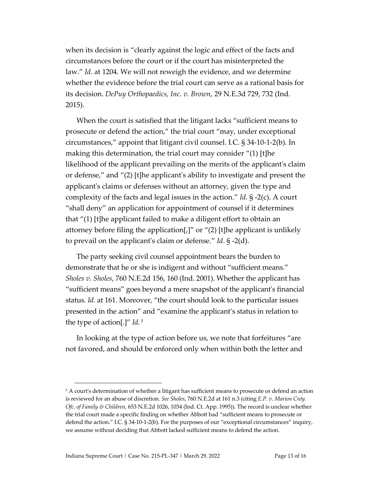when its decision is "clearly against the logic and effect of the facts and circumstances before the court or if the court has misinterpreted the law." *Id.* at 1204. We will not reweigh the evidence, and we determine whether the evidence before the trial court can serve as a rational basis for its decision. *DePuy Orthopaedics, Inc. v. Brown*, 29 N.E.3d 729, 732 (Ind. 2015).

When the court is satisfied that the litigant lacks "sufficient means to prosecute or defend the action," the trial court "may, under exceptional circumstances," appoint that litigant civil counsel. I.C. § 34-10-1-2(b). In making this determination, the trial court may consider "(1) [t]he likelihood of the applicant prevailing on the merits of the applicant's claim or defense," and "(2) [t]he applicant's ability to investigate and present the applicant's claims or defenses without an attorney, given the type and complexity of the facts and legal issues in the action." *Id.* § -2(c). A court "shall deny" an application for appointment of counsel if it determines that "(1) [t]he applicant failed to make a diligent effort to obtain an attorney before filing the application[,]" or "(2) [t]he applicant is unlikely to prevail on the applicant's claim or defense." *Id*. § -2(d).

The party seeking civil counsel appointment bears the burden to demonstrate that he or she is indigent and without "sufficient means." *Sholes v. Sholes*, 760 N.E.2d 156, 160 (Ind. 2001). Whether the applicant has "sufficient means" goes beyond a mere snapshot of the applicant's financial status. *Id.* at 161. Moreover, "the court should look to the particular issues presented in the action" and "examine the applicant's status in relation to the type of action[.]" *Id.* <sup>5</sup>

In looking at the type of action before us, we note that forfeitures "are not favored, and should be enforced only when within both the letter and

<sup>5</sup> A court's determination of whether a litigant has sufficient means to prosecute or defend an action is reviewed for an abuse of discretion. *See Sholes*, 760 N.E.2d at 161 n.3 (citing *E.P. v. Marion Cnty. Ofc. of Family & Children,* 653 N.E.2d 1026, 1034 (Ind. Ct. App. 1995)). The record is unclear whether the trial court made a specific finding on whether Abbott had "sufficient means to prosecute or defend the action." I.C. § 34-10-1-2(b). For the purposes of our "exceptional circumstances" inquiry, we assume without deciding that Abbott lacked sufficient means to defend the action.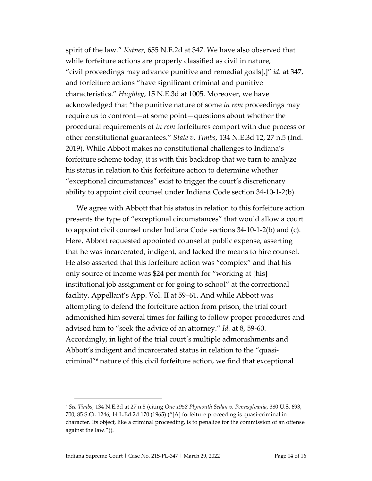spirit of the law." *Katner*, 655 N.E.2d at 347. We have also observed that while forfeiture actions are properly classified as civil in nature, "civil proceedings may advance punitive and remedial goals[,]" *id.* at 347, and forfeiture actions "have significant criminal and punitive characteristics." *Hughley*, 15 N.E.3d at 1005. Moreover, we have acknowledged that "the punitive nature of some *in rem* proceedings may require us to confront—at some point—questions about whether the procedural requirements of *in rem* forfeitures comport with due process or other constitutional guarantees." *State v. Timbs*, 134 N.E.3d 12, 27 n.5 (Ind. 2019). While Abbott makes no constitutional challenges to Indiana's forfeiture scheme today, it is with this backdrop that we turn to analyze his status in relation to this forfeiture action to determine whether "exceptional circumstances" exist to trigger the court's discretionary ability to appoint civil counsel under Indiana Code section 34-10-1-2(b).

We agree with Abbott that his status in relation to this forfeiture action presents the type of "exceptional circumstances" that would allow a court to appoint civil counsel under Indiana Code sections 34-10-1-2(b) and (c). Here, Abbott requested appointed counsel at public expense, asserting that he was incarcerated, indigent, and lacked the means to hire counsel. He also asserted that this forfeiture action was "complex" and that his only source of income was \$24 per month for "working at [his] institutional job assignment or for going to school" at the correctional facility. Appellant's App. Vol. II at 59–61. And while Abbott was attempting to defend the forfeiture action from prison, the trial court admonished him several times for failing to follow proper procedures and advised him to "seek the advice of an attorney." *Id.* at 8, 59-60. Accordingly, in light of the trial court's multiple admonishments and Abbott's indigent and incarcerated status in relation to the "quasicriminal" <sup>6</sup> nature of this civil forfeiture action, we find that exceptional

<sup>6</sup> *See Timbs*, 134 N.E.3d at 27 n.5 (citing *One 1958 Plymouth Sedan v. Pennsylvania*, 380 U.S. 693, 700, 85 S.Ct. 1246, 14 L.Ed.2d 170 (1965) ("[A] forfeiture proceeding is quasi-criminal in character. Its object, like a criminal proceeding, is to penalize for the commission of an offense against the law.")).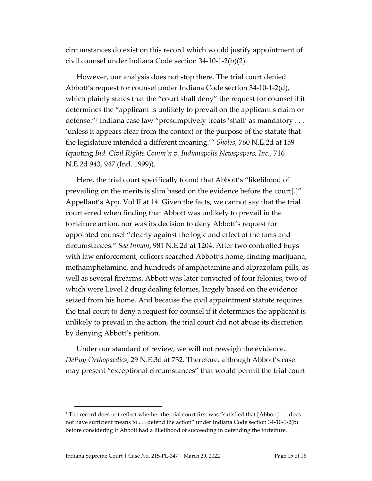circumstances do exist on this record which would justify appointment of civil counsel under Indiana Code section 34-10-1-2(b)(2).

However, our analysis does not stop there. The trial court denied Abbott's request for counsel under Indiana Code section 34-10-1-2(d), which plainly states that the "court shall deny" the request for counsel if it determines the "applicant is unlikely to prevail on the applicant's claim or defense."<sup>7</sup> Indiana case law "presumptively treats 'shall' as mandatory . . . 'unless it appears clear from the context or the purpose of the statute that the legislature intended a different meaning.'" *Sholes,* 760 N.E.2d at 159 (quoting *Ind. Civil Rights Comm'n v. Indianapolis Newspapers, Inc.*, 716 N.E.2d 943, 947 (Ind. 1999)).

Here, the trial court specifically found that Abbott's "likelihood of prevailing on the merits is slim based on the evidence before the court[.]" Appellant's App. Vol II at 14. Given the facts, we cannot say that the trial court erred when finding that Abbott was unlikely to prevail in the forfeiture action, nor was its decision to deny Abbott's request for appointed counsel "clearly against the logic and effect of the facts and circumstances." *See Inman*, 981 N.E.2d at 1204. After two controlled buys with law enforcement, officers searched Abbott's home, finding marijuana, methamphetamine, and hundreds of amphetamine and alprazolam pills, as well as several firearms. Abbott was later convicted of four felonies, two of which were Level 2 drug dealing felonies, largely based on the evidence seized from his home. And because the civil appointment statute requires the trial court to deny a request for counsel if it determines the applicant is unlikely to prevail in the action, the trial court did not abuse its discretion by denying Abbott's petition.

Under our standard of review, we will not reweigh the evidence. *DePuy Orthopaedics*, 29 N.E.3d at 732. Therefore, although Abbott's case may present "exceptional circumstances" that would permit the trial court

<sup>7</sup> The record does not reflect whether the trial court first was "satisfied that [Abbott] . . . does not have sufficient means to . . . defend the action" under Indiana Code section 34-10-1-2(b) before considering if Abbott had a likelihood of succeeding in defending the forfeiture.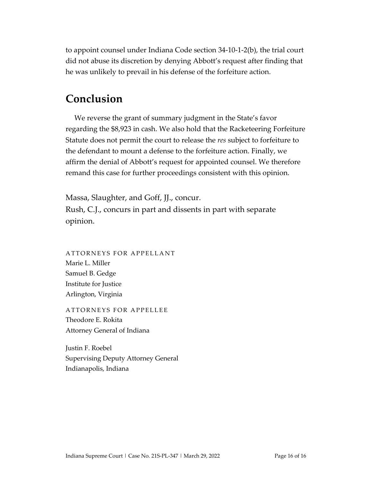to appoint counsel under Indiana Code section 34-10-1-2(b), the trial court did not abuse its discretion by denying Abbott's request after finding that he was unlikely to prevail in his defense of the forfeiture action.

## **Conclusion**

We reverse the grant of summary judgment in the State's favor regarding the \$8,923 in cash. We also hold that the Racketeering Forfeiture Statute does not permit the court to release the *res* subject to forfeiture to the defendant to mount a defense to the forfeiture action. Finally, we affirm the denial of Abbott's request for appointed counsel. We therefore remand this case for further proceedings consistent with this opinion.

Massa, Slaughter, and Goff, JJ., concur. Rush, C.J., concurs in part and dissents in part with separate opinion.

ATTORNEYS FOR APPELLANT Marie L. Miller Samuel B. Gedge Institute for Justice Arlington, Virginia

ATTORNEYS FOR APPELLEE Theodore E. Rokita Attorney General of Indiana

Justin F. Roebel Supervising Deputy Attorney General Indianapolis, Indiana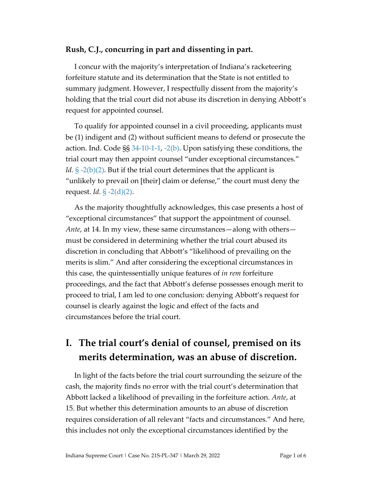#### **Rush, C.J., concurring in part and dissenting in part.**

I concur with the majority's interpretation of Indiana's racketeering forfeiture statute and its determination that the State is not entitled to summary judgment. However, I respectfully dissent from the majority's holding that the trial court did not abuse its discretion in denying Abbott's request for appointed counsel.

To qualify for appointed counsel in a civil proceeding, applicants must be (1) indigent and (2) without sufficient means to defend or prosecute the action. Ind. Code §§ [34-10-1-1,](https://1.next.westlaw.com/Document/N56C28A90816D11DB8132CD13D2280436/View/FullText.html?transitionType=UniqueDocItem&contextData=(sc.UserEnteredCitation)&userEnteredCitation=I.c.+34-10-1-1) [-2\(b\).](https://1.next.westlaw.com/Document/N581FA990816D11DB8132CD13D2280436/View/FullText.html?originationContext=previousnextsection&contextData=(sc.UserEnteredCitation)&transitionType=StatuteNavigator&needToInjectTerms=False&ppcid=8d0dfc1b735743e8ae5ff774546ac8d8) Upon satisfying these conditions, the trial court may then appoint counsel "under exceptional circumstances." *Id.* [§ -2\(b\)\(2\).](https://1.next.westlaw.com/Document/N581FA990816D11DB8132CD13D2280436/View/FullText.html?originationContext=previousnextsection&contextData=(sc.UserEnteredCitation)&transitionType=StatuteNavigator&needToInjectTerms=False&ppcid=8d0dfc1b735743e8ae5ff774546ac8d8) But if the trial court determines that the applicant is "unlikely to prevail on [their] claim or defense," the court must deny the request. *Id.* [§ -2\(d\)\(2\).](https://1.next.westlaw.com/Document/N581FA990816D11DB8132CD13D2280436/View/FullText.html?originationContext=previousnextsection&contextData=(sc.UserEnteredCitation)&transitionType=StatuteNavigator&needToInjectTerms=False&ppcid=8d0dfc1b735743e8ae5ff774546ac8d8)

As the majority thoughtfully acknowledges, this case presents a host of "exceptional circumstances" that support the appointment of counsel. *Ante*, at 14. In my view, these same circumstances—along with others must be considered in determining whether the trial court abused its discretion in concluding that Abbott's "likelihood of prevailing on the merits is slim." And after considering the exceptional circumstances in this case, the quintessentially unique features of *in rem* forfeiture proceedings, and the fact that Abbott's defense possesses enough merit to proceed to trial, I am led to one conclusion: denying Abbott's request for counsel is clearly against the logic and effect of the facts and circumstances before the trial court.

# **I. The trial court's denial of counsel, premised on its merits determination, was an abuse of discretion.**

In light of the facts before the trial court surrounding the seizure of the cash, the majority finds no error with the trial court's determination that Abbott lacked a likelihood of prevailing in the forfeiture action. *Ante*, at 15. But whether this determination amounts to an abuse of discretion requires consideration of all relevant "facts and circumstances." And here, this includes not only the exceptional circumstances identified by the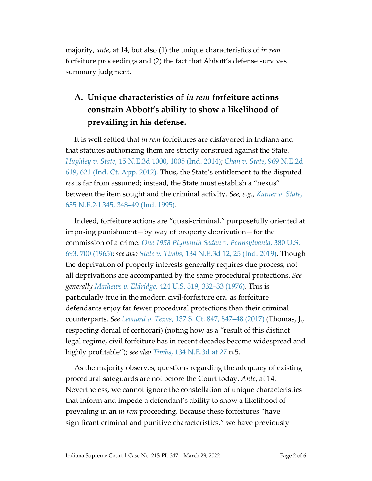majority, *ante*, at 14, but also (1) the unique characteristics of *in rem* forfeiture proceedings and (2) the fact that Abbott's defense survives summary judgment.

## **A. Unique characteristics of** *in rem* **forfeiture actions constrain Abbott's ability to show a likelihood of prevailing in his defense.**

It is well settled that *in rem* forfeitures are disfavored in Indiana and that statutes authorizing them are strictly construed against the State. *Hughley v. State*[, 15 N.E.3d 1000, 1005 \(Ind. 2014\);](https://www.westlaw.com/Document/Ie935ccc1389f11e4b86bd602cb8781fa/View/FullText.html?transitionType=Default&contextData=(sc.Default)&VR=3.0&RS=da3.0&fragmentIdentifier=co_pp_sp_7902_1005) *Chan v. State*[, 969 N.E.2d](https://www.westlaw.com/Document/I67808118bc3c11e1b60ab297d3d07bc5/View/FullText.html?transitionType=Default&contextData=(sc.Default)&VR=3.0&RS=da3.0&fragmentIdentifier=co_pp_sp_578_621)  [619, 621 \(Ind. Ct. App. 2012\).](https://www.westlaw.com/Document/I67808118bc3c11e1b60ab297d3d07bc5/View/FullText.html?transitionType=Default&contextData=(sc.Default)&VR=3.0&RS=da3.0&fragmentIdentifier=co_pp_sp_578_621) Thus, the State's entitlement to the disputed *res* is far from assumed; instead, the State must establish a "nexus" between the item sought and the criminal activity. *See, e.g.*, *[Katner v. State](https://www.westlaw.com/Document/I3d0ab563d3df11d99439b076ef9ec4de/View/FullText.html?transitionType=Default&contextData=(sc.Default)&VR=3.0&RS=da3.0&fragmentIdentifier=co_pp_sp_578_348)*, [655 N.E.2d 345, 348–49 \(Ind. 1995\).](https://www.westlaw.com/Document/I3d0ab563d3df11d99439b076ef9ec4de/View/FullText.html?transitionType=Default&contextData=(sc.Default)&VR=3.0&RS=da3.0&fragmentIdentifier=co_pp_sp_578_348)

Indeed, forfeiture actions are "quasi-criminal," purposefully oriented at imposing punishment—by way of property deprivation—for the commission of a crime. *[One 1958 Plymouth Sedan v. Pennsylvania](https://www.westlaw.com/Document/I65023b5b9c1d11d9bc61beebb95be672/View/FullText.html?transitionType=Default&contextData=(sc.Default)&VR=3.0&RS=da3.0&fragmentIdentifier=co_pp_sp_780_700)*, 380 U.S. [693, 700 \(1965\);](https://www.westlaw.com/Document/I65023b5b9c1d11d9bc61beebb95be672/View/FullText.html?transitionType=Default&contextData=(sc.Default)&VR=3.0&RS=da3.0&fragmentIdentifier=co_pp_sp_780_700) *see also State v. Timbs*[, 134 N.E.3d 12, 25 \(Ind. 2019\).](https://www.westlaw.com/Document/Ib05c84a0f9de11e9831490f1ca5ff4e0/View/FullText.html?transitionType=Default&contextData=(sc.Default)&VR=3.0&RS=da3.0&fragmentIdentifier=co_pp_sp_7902_25) Though the deprivation of property interests generally requires due process, not all deprivations are accompanied by the same procedural protections. *See generally Mathews v. Eldridge*[, 424 U.S. 319, 332–33 \(1976\).](https://www.westlaw.com/Document/Ic1e7189c9c1e11d991d0cc6b54f12d4d/View/FullText.html?transitionType=Default&contextData=(sc.Default)&VR=3.0&RS=da3.0&fragmentIdentifier=co_pp_sp_780_332) This is particularly true in the modern civil-forfeiture era, as forfeiture defendants enjoy far fewer procedural protections than their criminal counterparts. *See Leonard v. Texas*, 137 S. [Ct. 847, 847–48 \(2017\)](https://www.westlaw.com/Document/I91dff109548311e6a795ac035416da91/View/FullText.html?transitionType=Default&contextData=(sc.Default)&VR=3.0&RS=da3.0&fragmentIdentifier=co_pp_sp_708_847) (Thomas, J., respecting denial of certiorari) (noting how as a "result of this distinct legal regime, civil forfeiture has in recent decades become widespread and highly profitable"); *see also Timbs*[, 134 N.E.3d at 27](https://www.westlaw.com/Document/Ib05c84a0f9de11e9831490f1ca5ff4e0/View/FullText.html?transitionType=Default&contextData=(sc.Default)&VR=3.0&RS=da3.0&fragmentIdentifier=co_pp_sp_7902_27) n.5.

As the majority observes, questions regarding the adequacy of existing procedural safeguards are not before the Court today. *Ante*, at 14. Nevertheless, we cannot ignore the constellation of unique characteristics that inform and impede a defendant's ability to show a likelihood of prevailing in an *in rem* proceeding. Because these forfeitures "have significant criminal and punitive characteristics," we have previously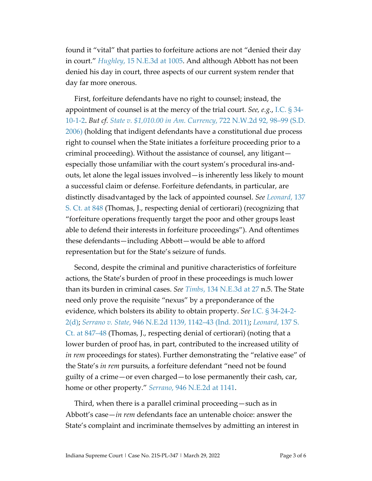found it "vital" that parties to forfeiture actions are not "denied their day in court." *Hughley*[, 15 N.E.3d at 1005.](https://www.westlaw.com/Document/Ie935ccc1389f11e4b86bd602cb8781fa/View/FullText.html?transitionType=Default&contextData=(sc.Default)&VR=3.0&RS=da3.0&fragmentIdentifier=co_pp_sp_7902_1005) And although Abbott has not been denied his day in court, three aspects of our current system render that day far more onerous.

First, forfeiture defendants have no right to counsel; instead, the appointment of counsel is at the mercy of the trial court. *See, e.g.*, [I.C. § 34-](https://1.next.westlaw.com/Document/N581FA990816D11DB8132CD13D2280436/View/FullText.html?originationContext=previousnextsection&contextData=(sc.UserEnteredCitation)&transitionType=StatuteNavigator&needToInjectTerms=False&ppcid=8d0dfc1b735743e8ae5ff774546ac8d8) [10-1-2.](https://1.next.westlaw.com/Document/N581FA990816D11DB8132CD13D2280436/View/FullText.html?originationContext=previousnextsection&contextData=(sc.UserEnteredCitation)&transitionType=StatuteNavigator&needToInjectTerms=False&ppcid=8d0dfc1b735743e8ae5ff774546ac8d8) *But cf. [State v. \\$1,010.00 in Am. Currency](https://www.westlaw.com/Document/I4f7e71253eb911db8ac4e022126eafc3/View/FullText.html?transitionType=Default&contextData=(sc.Default)&VR=3.0&RS=da3.0&fragmentIdentifier=co_pp_sp_595_98)*, 722 N.W.2d 92, 98–99 (S.D. [2006\)](https://www.westlaw.com/Document/I4f7e71253eb911db8ac4e022126eafc3/View/FullText.html?transitionType=Default&contextData=(sc.Default)&VR=3.0&RS=da3.0&fragmentIdentifier=co_pp_sp_595_98) (holding that indigent defendants have a constitutional due process right to counsel when the State initiates a forfeiture proceeding prior to a criminal proceeding). Without the assistance of counsel, any litigant especially those unfamiliar with the court system's procedural ins-andouts, let alone the legal issues involved—is inherently less likely to mount a successful claim or defense. Forfeiture defendants, in particular, are distinctly disadvantaged by the lack of appointed counsel. *See [Leonard](https://www.westlaw.com/Document/I91dff109548311e6a795ac035416da91/View/FullText.html?transitionType=Default&contextData=(sc.Default)&VR=3.0&RS=da3.0&fragmentIdentifier=co_pp_sp_708_848)*, 137 [S. Ct. at 848](https://www.westlaw.com/Document/I91dff109548311e6a795ac035416da91/View/FullText.html?transitionType=Default&contextData=(sc.Default)&VR=3.0&RS=da3.0&fragmentIdentifier=co_pp_sp_708_848) (Thomas, J., respecting denial of certiorari) (recognizing that "forfeiture operations frequently target the poor and other groups least able to defend their interests in forfeiture proceedings"). And oftentimes these defendants—including Abbott—would be able to afford representation but for the State's seizure of funds.

Second, despite the criminal and punitive characteristics of forfeiture actions, the State's burden of proof in these proceedings is much lower than its burden in criminal cases. *See Timbs*[, 134 N.E.3d at 27](https://www.westlaw.com/Document/Ib05c84a0f9de11e9831490f1ca5ff4e0/View/FullText.html?transitionType=Default&contextData=(sc.Default)&VR=3.0&RS=da3.0&fragmentIdentifier=co_pp_sp_7902_27) n.5. The State need only prove the requisite "nexus" by a preponderance of the evidence, which bolsters its ability to obtain property. *See* I.C. § [34-24-2-](https://1.next.westlaw.com/Document/N482C6910816D11DB8132CD13D2280436/View/FullText.html?transitionType=UniqueDocItem&contextData=(sc.UserEnteredCitation)&userEnteredCitation=I.C.+34-24-2-2) [2\(d\);](https://1.next.westlaw.com/Document/N482C6910816D11DB8132CD13D2280436/View/FullText.html?transitionType=UniqueDocItem&contextData=(sc.UserEnteredCitation)&userEnteredCitation=I.C.+34-24-2-2) *Serrano v. State*[, 946 N.E.2d 1139, 1142–43 \(Ind. 2011\);](https://www.westlaw.com/Document/Iab00842c71b211e0a8a2938374af9660/View/FullText.html?transitionType=Default&contextData=(sc.Default)&VR=3.0&RS=da3.0&fragmentIdentifier=co_pp_sp_578_1142) *[Leonard](https://www.westlaw.com/Document/I91dff109548311e6a795ac035416da91/View/FullText.html?transitionType=Default&contextData=(sc.Default)&VR=3.0&RS=da3.0&fragmentIdentifier=co_pp_sp_708_847)*, 137 S. [Ct. at 847–48](https://www.westlaw.com/Document/I91dff109548311e6a795ac035416da91/View/FullText.html?transitionType=Default&contextData=(sc.Default)&VR=3.0&RS=da3.0&fragmentIdentifier=co_pp_sp_708_847) (Thomas, J., respecting denial of certiorari) (noting that a lower burden of proof has, in part, contributed to the increased utility of *in rem* proceedings for states). Further demonstrating the "relative ease" of the State's *in rem* pursuits, a forfeiture defendant "need not be found guilty of a crime—or even charged—to lose permanently their cash, car, home or other property." *Serrano*[, 946 N.E.2d at](https://www.westlaw.com/Document/Iab00842c71b211e0a8a2938374af9660/View/FullText.html?transitionType=Default&contextData=(sc.Default)&VR=3.0&RS=da3.0&fragmentIdentifier=co_pp_sp_578_1141) 1141.

Third, when there is a parallel criminal proceeding—such as in Abbott's case—*in rem* defendants face an untenable choice: answer the State's complaint and incriminate themselves by admitting an interest in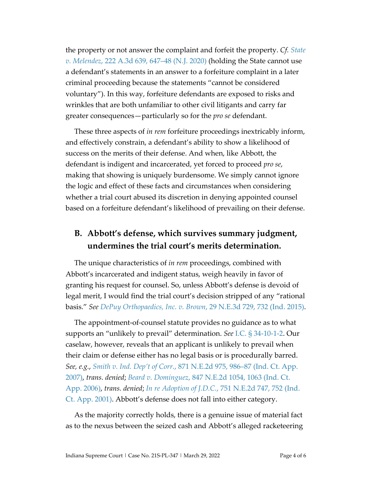the property or not answer the complaint and forfeit the property. *Cf. [State](https://www.westlaw.com/Document/I74f5b030323711eaac0ee4466ee51240/View/FullText.html?transitionType=Default&contextData=(sc.Default)&VR=3.0&RS=da3.0&fragmentIdentifier=co_pp_sp_7691_647)  v. Melendez*[, 222 A.3d 639, 647–48](https://www.westlaw.com/Document/I74f5b030323711eaac0ee4466ee51240/View/FullText.html?transitionType=Default&contextData=(sc.Default)&VR=3.0&RS=da3.0&fragmentIdentifier=co_pp_sp_7691_647) (N.J. 2020) (holding the State cannot use a defendant's statements in an answer to a forfeiture complaint in a later criminal proceeding because the statements "cannot be considered voluntary"). In this way, forfeiture defendants are exposed to risks and wrinkles that are both unfamiliar to other civil litigants and carry far greater consequences—particularly so for the *pro se* defendant.

These three aspects of *in rem* forfeiture proceedings inextricably inform, and effectively constrain, a defendant's ability to show a likelihood of success on the merits of their defense. And when, like Abbott, the defendant is indigent and incarcerated, yet forced to proceed *pro se*, making that showing is uniquely burdensome. We simply cannot ignore the logic and effect of these facts and circumstances when considering whether a trial court abused its discretion in denying appointed counsel based on a forfeiture defendant's likelihood of prevailing on their defense.

#### **B. Abbott's defense, which survives summary judgment, undermines the trial court's merits determination.**

The unique characteristics of *in rem* proceedings, combined with Abbott's incarcerated and indigent status, weigh heavily in favor of granting his request for counsel. So, unless Abbott's defense is devoid of legal merit, I would find the trial court's decision stripped of any "rational basis." *See [DePuy Orthopaedics, Inc. v. Brown](https://www.westlaw.com/Document/I1fdf813eec6911e4a795ac035416da91/View/FullText.html?transitionType=Default&contextData=(sc.Default)&VR=3.0&RS=da3.0&fragmentIdentifier=co_pp_sp_7902_732)*, 29 N.E.3d 729, 732 (Ind. 2015).

The appointment-of-counsel statute provides no guidance as to what supports an "unlikely to prevail" determination. *See* I.C. § [34-10-1-2.](https://1.next.westlaw.com/Document/N581FA990816D11DB8132CD13D2280436/View/FullText.html?transitionType=UniqueDocItem&contextData=(sc.UserEnteredCitation)&userEnteredCitation=I.C.+34-10-1-2) Our caselaw, however, reveals that an applicant is unlikely to prevail when their claim or defense either has no legal basis or is procedurally barred. *See, e.g.*, *Smith v. Ind. Dep't of Corr.*[, 871 N.E.2d 975, 986–87 \(Ind. Ct. App.](https://www.westlaw.com/Document/I891ef417475d11dcb979ebb8243d536d/View/FullText.html?transitionType=Default&contextData=(sc.Default)&VR=3.0&RS=da3.0&fragmentIdentifier=co_pp_sp_578_986)  [2007\),](https://www.westlaw.com/Document/I891ef417475d11dcb979ebb8243d536d/View/FullText.html?transitionType=Default&contextData=(sc.Default)&VR=3.0&RS=da3.0&fragmentIdentifier=co_pp_sp_578_986) *trans. denied*; *Beard v. Dominguez*[, 847 N.E.2d 1054, 1063 \(Ind. Ct.](https://www.westlaw.com/Document/Ie5c0cfb6ece711da8b56def3c325596e/View/FullText.html?transitionType=Default&contextData=(sc.Default)&VR=3.0&RS=da3.0&fragmentIdentifier=co_pp_sp_578_1063)  [App. 2006\),](https://www.westlaw.com/Document/Ie5c0cfb6ece711da8b56def3c325596e/View/FullText.html?transitionType=Default&contextData=(sc.Default)&VR=3.0&RS=da3.0&fragmentIdentifier=co_pp_sp_578_1063) *trans. denied*; *In re Adoption of J.D.C.*[, 751 N.E.2d 747, 752 \(Ind.](https://www.westlaw.com/Document/I643aea67d39911d983e7e9deff98dc6f/View/FullText.html?transitionType=Default&contextData=(sc.Default)&VR=3.0&RS=da3.0&fragmentIdentifier=co_pp_sp_578_752)  [Ct. App. 2001\).](https://www.westlaw.com/Document/I643aea67d39911d983e7e9deff98dc6f/View/FullText.html?transitionType=Default&contextData=(sc.Default)&VR=3.0&RS=da3.0&fragmentIdentifier=co_pp_sp_578_752) Abbott's defense does not fall into either category.

As the majority correctly holds, there is a genuine issue of material fact as to the nexus between the seized cash and Abbott's alleged racketeering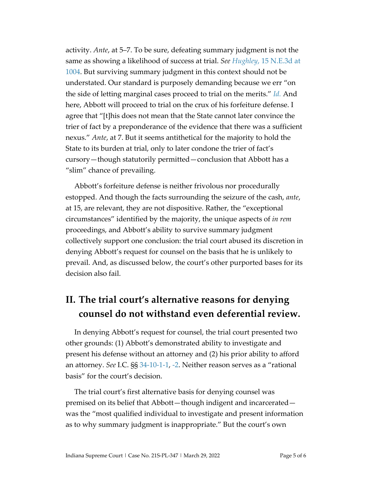activity. *Ante*, at 5–7. To be sure, defeating summary judgment is not the same as showing a likelihood of success at trial. *See Hughley*[, 15 N.E.3d at](https://www.westlaw.com/Document/Ie935ccc1389f11e4b86bd602cb8781fa/View/FullText.html?transitionType=Default&contextData=(sc.Default)&VR=3.0&RS=da3.0&fragmentIdentifier=co_pp_sp_7902_1004) [1004.](https://www.westlaw.com/Document/Ie935ccc1389f11e4b86bd602cb8781fa/View/FullText.html?transitionType=Default&contextData=(sc.Default)&VR=3.0&RS=da3.0&fragmentIdentifier=co_pp_sp_7902_1004) But surviving summary judgment in this context should not be understated. Our standard is purposely demanding because we err "on the side of letting marginal cases proceed to trial on the merits." *[Id.](https://www.westlaw.com/Document/Ie935ccc1389f11e4b86bd602cb8781fa/View/FullText.html?transitionType=Default&contextData=(sc.Default)&VR=3.0&RS=da3.0)* And here, Abbott will proceed to trial on the crux of his forfeiture defense. I agree that "[t]his does not mean that the State cannot later convince the trier of fact by a preponderance of the evidence that there was a sufficient nexus." *Ante*, at 7. But it seems antithetical for the majority to hold the State to its burden at trial, only to later condone the trier of fact's cursory—though statutorily permitted—conclusion that Abbott has a "slim" chance of prevailing.

Abbott's forfeiture defense is neither frivolous nor procedurally estopped. And though the facts surrounding the seizure of the cash, *ante*, at 15, are relevant, they are not dispositive. Rather, the "exceptional circumstances" identified by the majority, the unique aspects of *in rem* proceedings, and Abbott's ability to survive summary judgment collectively support one conclusion: the trial court abused its discretion in denying Abbott's request for counsel on the basis that he is unlikely to prevail. And, as discussed below, the court's other purported bases for its decision also fail.

# **II. The trial court's alternative reasons for denying counsel do not withstand even deferential review.**

In denying Abbott's request for counsel, the trial court presented two other grounds: (1) Abbott's demonstrated ability to investigate and present his defense without an attorney and (2) his prior ability to afford an attorney. *See* I.C. §§ [34-10-1-1,](https://1.next.westlaw.com/Document/N56C28A90816D11DB8132CD13D2280436/View/FullText.html?transitionType=UniqueDocItem&contextData=(sc.UserEnteredCitation)&userEnteredCitation=I.c.+34-10-1-1) [-2.](https://1.next.westlaw.com/Document/N581FA990816D11DB8132CD13D2280436/View/FullText.html?originationContext=previousnextsection&contextData=(sc.UserEnteredCitation)&transitionType=StatuteNavigator&needToInjectTerms=False&ppcid=8d0dfc1b735743e8ae5ff774546ac8d8) Neither reason serves as a "rational basis" for the court's decision.

The trial court's first alternative basis for denying counsel was premised on its belief that Abbott—though indigent and incarcerated was the "most qualified individual to investigate and present information as to why summary judgment is inappropriate." But the court's own